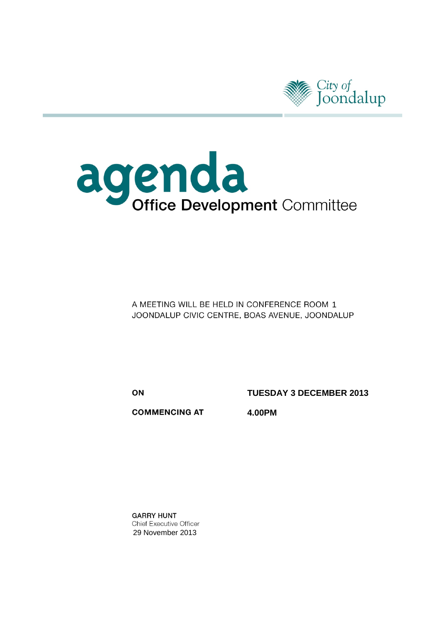



A MEETING WILL BE HELD IN CONFERENCE ROOM 1 JOONDALUP CIVIC CENTRE, BOAS AVENUE, JOONDALUP

ON

**TUESDAY 3 DECEMBER 2013**

**COMMENCING AT** 

**4.00PM**

**GARRY HUNT** Chief Executive Officer 29 November 2013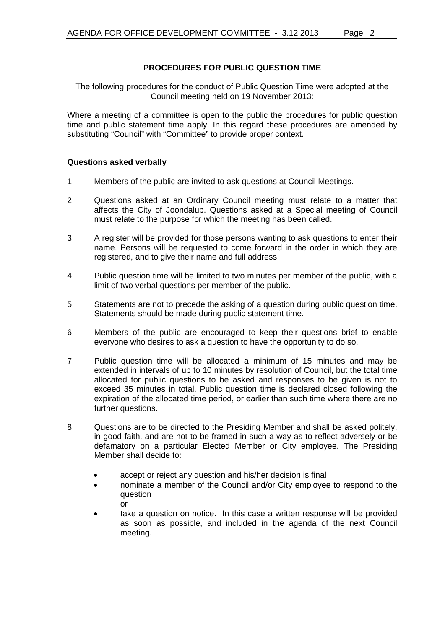# **PROCEDURES FOR PUBLIC QUESTION TIME**

The following procedures for the conduct of Public Question Time were adopted at the Council meeting held on 19 November 2013:

Where a meeting of a committee is open to the public the procedures for public question time and public statement time apply. In this regard these procedures are amended by substituting "Council" with "Committee" to provide proper context.

# **Questions asked verbally**

- 1 Members of the public are invited to ask questions at Council Meetings.
- 2 Questions asked at an Ordinary Council meeting must relate to a matter that affects the City of Joondalup. Questions asked at a Special meeting of Council must relate to the purpose for which the meeting has been called.
- 3 A register will be provided for those persons wanting to ask questions to enter their name. Persons will be requested to come forward in the order in which they are registered, and to give their name and full address.
- 4 Public question time will be limited to two minutes per member of the public, with a limit of two verbal questions per member of the public.
- 5 Statements are not to precede the asking of a question during public question time. Statements should be made during public statement time.
- 6 Members of the public are encouraged to keep their questions brief to enable everyone who desires to ask a question to have the opportunity to do so.
- 7 Public question time will be allocated a minimum of 15 minutes and may be extended in intervals of up to 10 minutes by resolution of Council, but the total time allocated for public questions to be asked and responses to be given is not to exceed 35 minutes in total. Public question time is declared closed following the expiration of the allocated time period, or earlier than such time where there are no further questions.
- 8 Questions are to be directed to the Presiding Member and shall be asked politely, in good faith, and are not to be framed in such a way as to reflect adversely or be defamatory on a particular Elected Member or City employee. The Presiding Member shall decide to:
	- accept or reject any question and his/her decision is final
	- nominate a member of the Council and/or City employee to respond to the question or
	- take a question on notice. In this case a written response will be provided as soon as possible, and included in the agenda of the next Council meeting.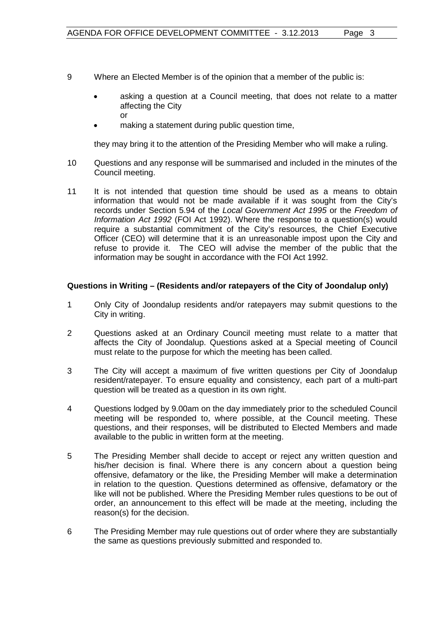- 9 Where an Elected Member is of the opinion that a member of the public is:
	- asking a question at a Council meeting, that does not relate to a matter affecting the City or
	- making a statement during public question time,

they may bring it to the attention of the Presiding Member who will make a ruling.

- 10 Questions and any response will be summarised and included in the minutes of the Council meeting.
- 11 It is not intended that question time should be used as a means to obtain information that would not be made available if it was sought from the City's records under Section 5.94 of the *Local Government Act 1995* or the *Freedom of Information Act 1992* (FOI Act 1992). Where the response to a question(s) would require a substantial commitment of the City's resources, the Chief Executive Officer (CEO) will determine that it is an unreasonable impost upon the City and refuse to provide it. The CEO will advise the member of the public that the information may be sought in accordance with the FOI Act 1992.

# **Questions in Writing – (Residents and/or ratepayers of the City of Joondalup only)**

- 1 Only City of Joondalup residents and/or ratepayers may submit questions to the City in writing.
- 2 Questions asked at an Ordinary Council meeting must relate to a matter that affects the City of Joondalup. Questions asked at a Special meeting of Council must relate to the purpose for which the meeting has been called.
- 3 The City will accept a maximum of five written questions per City of Joondalup resident/ratepayer. To ensure equality and consistency, each part of a multi-part question will be treated as a question in its own right.
- 4 Questions lodged by 9.00am on the day immediately prior to the scheduled Council meeting will be responded to, where possible, at the Council meeting. These questions, and their responses, will be distributed to Elected Members and made available to the public in written form at the meeting.
- 5 The Presiding Member shall decide to accept or reject any written question and his/her decision is final. Where there is any concern about a question being offensive, defamatory or the like, the Presiding Member will make a determination in relation to the question. Questions determined as offensive, defamatory or the like will not be published. Where the Presiding Member rules questions to be out of order, an announcement to this effect will be made at the meeting, including the reason(s) for the decision.
- 6 The Presiding Member may rule questions out of order where they are substantially the same as questions previously submitted and responded to.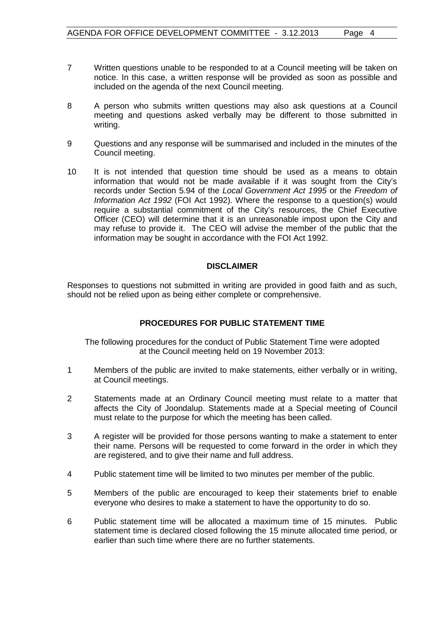- 7 Written questions unable to be responded to at a Council meeting will be taken on notice. In this case, a written response will be provided as soon as possible and included on the agenda of the next Council meeting.
- 8 A person who submits written questions may also ask questions at a Council meeting and questions asked verbally may be different to those submitted in writing.
- 9 Questions and any response will be summarised and included in the minutes of the Council meeting.
- 10 It is not intended that question time should be used as a means to obtain information that would not be made available if it was sought from the City's records under Section 5.94 of the *Local Government Act 1995* or the *Freedom of Information Act 1992* (FOI Act 1992). Where the response to a question(s) would require a substantial commitment of the City's resources, the Chief Executive Officer (CEO) will determine that it is an unreasonable impost upon the City and may refuse to provide it. The CEO will advise the member of the public that the information may be sought in accordance with the FOI Act 1992.

#### **DISCLAIMER**

Responses to questions not submitted in writing are provided in good faith and as such, should not be relied upon as being either complete or comprehensive.

# **PROCEDURES FOR PUBLIC STATEMENT TIME**

The following procedures for the conduct of Public Statement Time were adopted at the Council meeting held on 19 November 2013:

- 1 Members of the public are invited to make statements, either verbally or in writing, at Council meetings.
- 2 Statements made at an Ordinary Council meeting must relate to a matter that affects the City of Joondalup. Statements made at a Special meeting of Council must relate to the purpose for which the meeting has been called.
- 3 A register will be provided for those persons wanting to make a statement to enter their name. Persons will be requested to come forward in the order in which they are registered, and to give their name and full address.
- 4 Public statement time will be limited to two minutes per member of the public.
- 5 Members of the public are encouraged to keep their statements brief to enable everyone who desires to make a statement to have the opportunity to do so.
- 6 Public statement time will be allocated a maximum time of 15 minutes. Public statement time is declared closed following the 15 minute allocated time period, or earlier than such time where there are no further statements.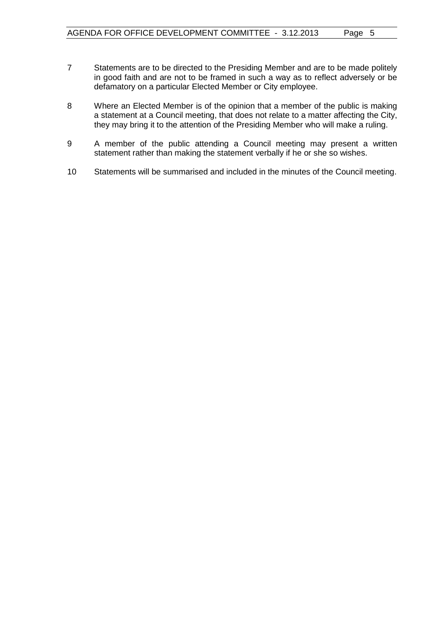- 7 Statements are to be directed to the Presiding Member and are to be made politely in good faith and are not to be framed in such a way as to reflect adversely or be defamatory on a particular Elected Member or City employee.
- 8 Where an Elected Member is of the opinion that a member of the public is making a statement at a Council meeting, that does not relate to a matter affecting the City, they may bring it to the attention of the Presiding Member who will make a ruling.
- 9 A member of the public attending a Council meeting may present a written statement rather than making the statement verbally if he or she so wishes.
- 10 Statements will be summarised and included in the minutes of the Council meeting.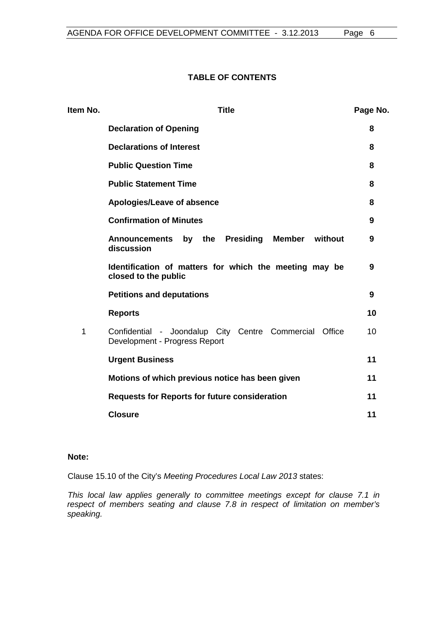# **TABLE OF CONTENTS**

| Item No. | <b>Title</b>                                                                               | Page No. |
|----------|--------------------------------------------------------------------------------------------|----------|
|          | <b>Declaration of Opening</b>                                                              | 8        |
|          | <b>Declarations of Interest</b>                                                            | 8        |
|          | <b>Public Question Time</b>                                                                | 8        |
|          | <b>Public Statement Time</b>                                                               | 8        |
|          | Apologies/Leave of absence                                                                 | 8        |
|          | <b>Confirmation of Minutes</b>                                                             | 9        |
|          | without<br>Announcements by the<br><b>Presiding</b><br>Member<br>discussion                | 9        |
|          | Identification of matters for which the meeting may be<br>closed to the public             | 9        |
|          | <b>Petitions and deputations</b>                                                           | 9        |
|          | <b>Reports</b>                                                                             | 10       |
| 1        | Confidential - Joondalup City Centre Commercial<br>Office<br>Development - Progress Report | 10       |
|          | <b>Urgent Business</b>                                                                     | 11       |
|          | Motions of which previous notice has been given                                            | 11       |
|          | <b>Requests for Reports for future consideration</b>                                       | 11       |
|          | <b>Closure</b>                                                                             | 11       |

# **Note:**

Clause 15.10 of the City's *Meeting Procedures Local Law 2013* states:

*This local law applies generally to committee meetings except for clause 7.1 in respect of members seating and clause 7.8 in respect of limitation on member's speaking.*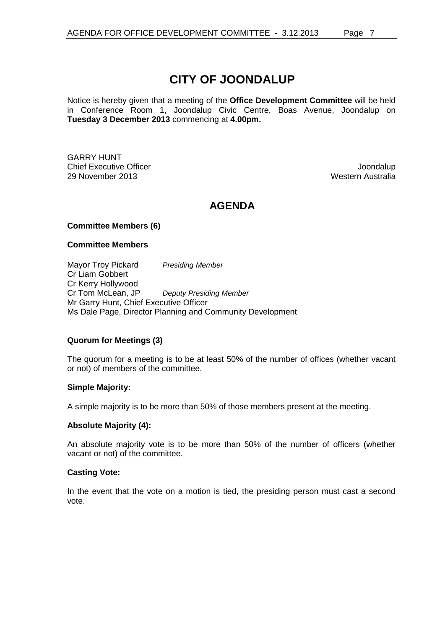# **CITY OF JOONDALUP**

Notice is hereby given that a meeting of the **Office Development Committee** will be held in Conference Room 1, Joondalup Civic Centre, Boas Avenue, Joondalup on **Tuesday 3 December 2013** commencing at **4.00pm.**

GARRY HUNT **Chief Executive Officer Joseph According to the Chief Executive Officer Joseph According to the Chief According to the Chief According to the Chief According to the Chief According to the Chief According to the Chief Acco** 29 November 2013 Western Australia

# **AGENDA**

# **Committee Members (6)**

#### **Committee Members**

Mayor Troy Pickard *Presiding Member* Cr Liam Gobbert Cr Kerry Hollywood<br>Cr Tom McLean, JP **Deputy Presiding Member** Mr Garry Hunt, Chief Executive Officer Ms Dale Page, Director Planning and Community Development

# **Quorum for Meetings (3)**

The quorum for a meeting is to be at least 50% of the number of offices (whether vacant or not) of members of the committee.

#### **Simple Majority:**

A simple majority is to be more than 50% of those members present at the meeting.

# **Absolute Majority (4):**

An absolute majority vote is to be more than 50% of the number of officers (whether vacant or not) of the committee.

#### **Casting Vote:**

In the event that the vote on a motion is tied, the presiding person must cast a second vote.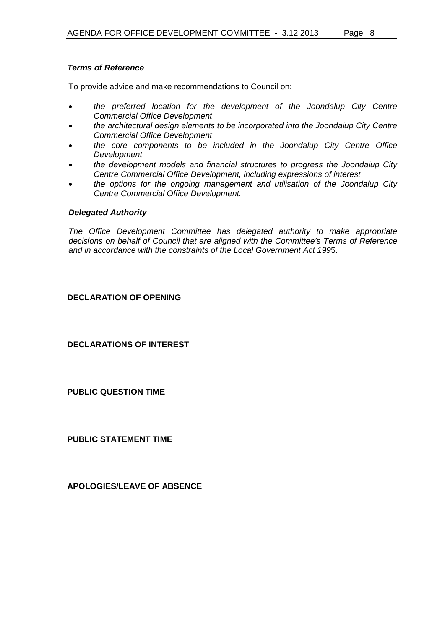# *Terms of Reference*

To provide advice and make recommendations to Council on:

- *the preferred location for the development of the Joondalup City Centre Commercial Office Development*
- *the architectural design elements to be incorporated into the Joondalup City Centre Commercial Office Development*
- *the core components to be included in the Joondalup City Centre Office Development*
- *the development models and financial structures to progress the Joondalup City Centre Commercial Office Development, including expressions of interest*
- *the options for the ongoing management and utilisation of the Joondalup City Centre Commercial Office Development.*

#### *Delegated Authority*

*The Office Development Committee has delegated authority to make appropriate decisions on behalf of Council that are aligned with the Committee's Terms of Reference and in accordance with the constraints of the Local Government Act 199*5.

# <span id="page-7-0"></span>**DECLARATION OF OPENING**

<span id="page-7-1"></span>**DECLARATIONS OF INTEREST**

<span id="page-7-2"></span>**PUBLIC QUESTION TIME**

<span id="page-7-3"></span>**PUBLIC STATEMENT TIME**

<span id="page-7-4"></span>**APOLOGIES/LEAVE OF ABSENCE**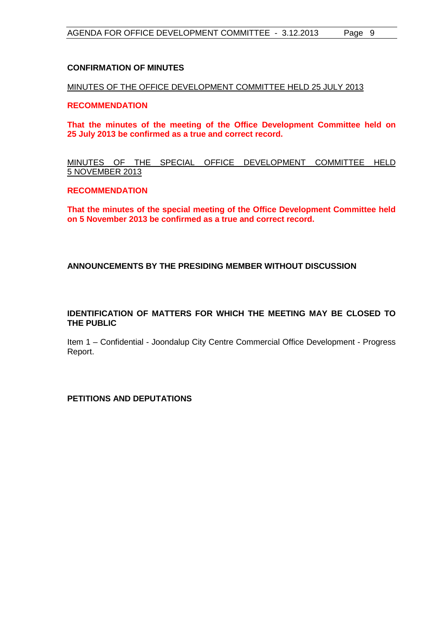## <span id="page-8-0"></span>**CONFIRMATION OF MINUTES**

MINUTES OF THE OFFICE DEVELOPMENT COMMITTEE HELD 25 JULY 2013

## **RECOMMENDATION**

**That the minutes of the meeting of the Office Development Committee held on 25 July 2013 be confirmed as a true and correct record.**

# MINUTES OF THE SPECIAL OFFICE DEVELOPMENT COMMITTEE HELD 5 NOVEMBER 2013

#### **RECOMMENDATION**

**That the minutes of the special meeting of the Office Development Committee held on 5 November 2013 be confirmed as a true and correct record.**

#### <span id="page-8-1"></span>**ANNOUNCEMENTS BY THE PRESIDING MEMBER WITHOUT DISCUSSION**

# <span id="page-8-2"></span>**IDENTIFICATION OF MATTERS FOR WHICH THE MEETING MAY BE CLOSED TO THE PUBLIC**

Item 1 – Confidential - Joondalup City Centre Commercial Office Development - Progress Report.

<span id="page-8-3"></span>**PETITIONS AND DEPUTATIONS**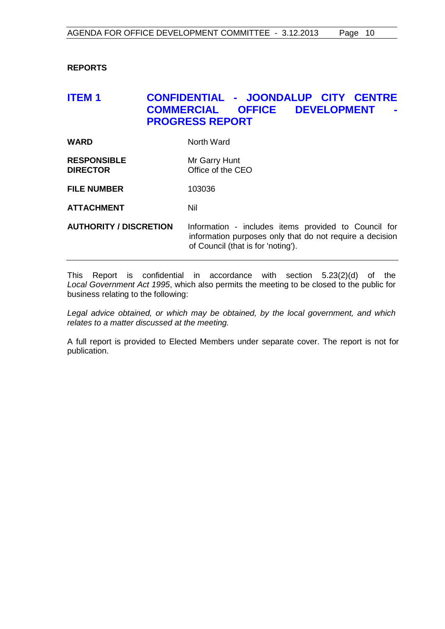# <span id="page-9-0"></span>**REPORTS**

# <span id="page-9-1"></span>**ITEM 1 CONFIDENTIAL - JOONDALUP CITY CENTRE COFFICE DEVELOPMENT PROGRESS REPORT**

| WARD | North Ward |
|------|------------|
|      |            |

**RESPONSIBLE** Mr Garry Hunt **DIRECTOR** Office of the CEO

**FILE NUMBER** 103036

**ATTACHMENT** Nil

**AUTHORITY / DISCRETION** Information - includes items provided to Council for information purposes only that do not require a decision of Council (that is for 'noting').

This Report is confidential in accordance with section 5.23(2)(d) of the *Local Government Act 1995*, which also permits the meeting to be closed to the public for business relating to the following:

*Legal advice obtained, or which may be obtained, by the local government, and which relates to a matter discussed at the meeting.*

A full report is provided to Elected Members under separate cover. The report is not for publication.